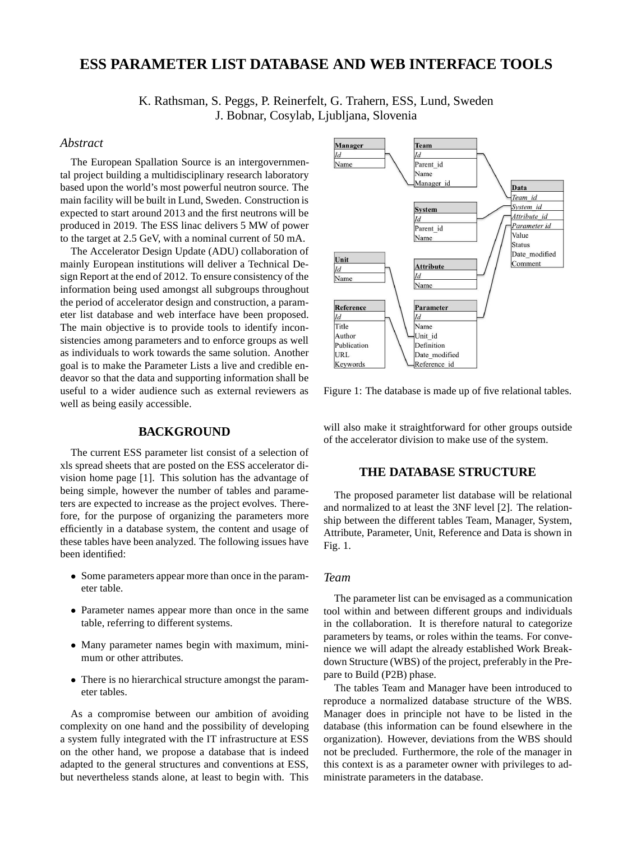# **ESS PARAMETER LIST DATABASE AND WEB INTERFACE TOOLS**

K. Rathsman, S. Peggs, P. Reinerfelt, G. Trahern, ESS, Lund, Sweden J. Bobnar, Cosylab, Ljubljana, Slovenia

### *Abstract*

The European Spallation Source is an intergovernmental project building a multidisciplinary research laboratory based upon the world's most powerful neutron source. The main facility will be built in Lund, Sweden. Construction is expected to start around 2013 and the first neutrons will be produced in 2019. The ESS linac delivers 5 MW of power to the target at 2.5 GeV, with a nominal current of 50 mA.

The Accelerator Design Update (ADU) collaboration of mainly European institutions will deliver a Technical Design Report at the end of 2012. To ensure consistency of the information being used amongst all subgroups throughout the period of accelerator design and construction, a parameter list database and web interface have been proposed. The main objective is to provide tools to identify inconsistencies among parameters and to enforce groups as well as individuals to work towards the same solution. Another goal is to make the Parameter Lists a live and credible endeavor so that the data and supporting information shall be useful to a wider audience such as external reviewers as well as being easily accessible.

# **BACKGROUND**

The current ESS parameter list consist of a selection of xls spread sheets that are posted on the ESS accelerator division home page [1]. This solution has the advantage of being simple, however the number of tables and parameters are expected to increase as the project evolves. Therefore, for the purpose of organizing the parameters more efficiently in a database system, the content and usage of these tables have been analyzed. The following issues have been identified:

- Some parameters appear more than once in the parameter table.
- Parameter names appear more than once in the same table, referring to different systems.
- Many parameter names begin with maximum, minimum or other attributes.
- There is no hierarchical structure amongst the parameter tables.

As a compromise between our ambition of avoiding complexity on one hand and the possibility of developing a system fully integrated with the IT infrastructure at ESS on the other hand, we propose a database that is indeed adapted to the general structures and conventions at ESS, but nevertheless stands alone, at least to begin with. This



Figure 1: The database is made up of five relational tables.

will also make it straightforward for other groups outside of the accelerator division to make use of the system.

# **THE DATABASE STRUCTURE**

The proposed parameter list database will be relational and normalized to at least the 3NF level [2]. The relationship between the different tables Team, Manager, System, Attribute, Parameter, Unit, Reference and Data is shown in Fig. 1.

# *Team*

The parameter list can be envisaged as a communication tool within and between different groups and individuals in the collaboration. It is therefore natural to categorize parameters by teams, or roles within the teams. For convenience we will adapt the already established Work Breakdown Structure (WBS) of the project, preferably in the Prepare to Build (P2B) phase.

The tables Team and Manager have been introduced to reproduce a normalized database structure of the WBS. Manager does in principle not have to be listed in the database (this information can be found elsewhere in the organization). However, deviations from the WBS should not be precluded. Furthermore, the role of the manager in this context is as a parameter owner with privileges to administrate parameters in the database.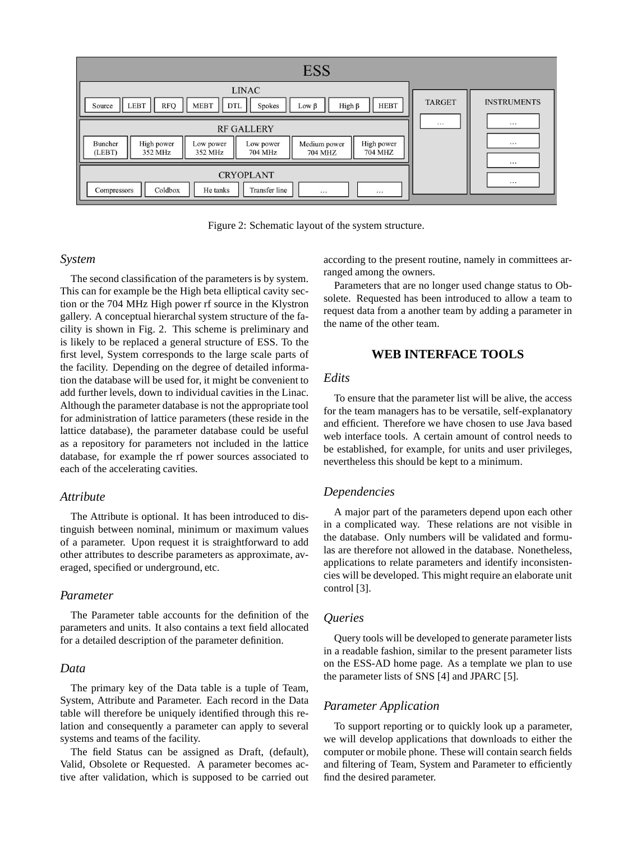

Figure 2: Schematic layout of the system structure.

## *System*

The second classification of the parameters is by system. This can for example be the High beta elliptical cavity section or the 704 MHz High power rf source in the Klystron gallery. A conceptual hierarchal system structure of the facility is shown in Fig. 2. This scheme is preliminary and is likely to be replaced a general structure of ESS. To the first level, System corresponds to the large scale parts of the facility. Depending on the degree of detailed information the database will be used for, it might be convenient to add further levels, down to individual cavities in the Linac. Although the parameter database is not the appropriate tool for administration of lattice parameters (these reside in the lattice database), the parameter database could be useful as a repository for parameters not included in the lattice database, for example the rf power sources associated to each of the accelerating cavities.

# *Attribute*

The Attribute is optional. It has been introduced to distinguish between nominal, minimum or maximum values of a parameter. Upon request it is straightforward to add other attributes to describe parameters as approximate, averaged, specified or underground, etc.

# *Parameter*

The Parameter table accounts for the definition of the parameters and units. It also contains a text field allocated for a detailed description of the parameter definition.

#### *Data*

The primary key of the Data table is a tuple of Team, System, Attribute and Parameter. Each record in the Data table will therefore be uniquely identified through this relation and consequently a parameter can apply to several systems and teams of the facility.

The field Status can be assigned as Draft, (default), Valid, Obsolete or Requested. A parameter becomes active after validation, which is supposed to be carried out according to the present routine, namely in committees arranged among the owners.

Parameters that are no longer used change status to Obsolete. Requested has been introduced to allow a team to request data from a another team by adding a parameter in the name of the other team.

## **WEB INTERFACE TOOLS**

## *Edits*

To ensure that the parameter list will be alive, the access for the team managers has to be versatile, self-explanatory and efficient. Therefore we have chosen to use Java based web interface tools. A certain amount of control needs to be established, for example, for units and user privileges, nevertheless this should be kept to a minimum.

## *Dependencies*

A major part of the parameters depend upon each other in a complicated way. These relations are not visible in the database. Only numbers will be validated and formulas are therefore not allowed in the database. Nonetheless, applications to relate parameters and identify inconsistencies will be developed. This might require an elaborate unit control [3].

### *Queries*

Query tools will be developed to generate parameter lists in a readable fashion, similar to the present parameter lists on the ESS-AD home page. As a template we plan to use the parameter lists of SNS [4] and JPARC [5].

### *Parameter Application*

To support reporting or to quickly look up a parameter, we will develop applications that downloads to either the computer or mobile phone. These will contain search fields and filtering of Team, System and Parameter to efficiently find the desired parameter.